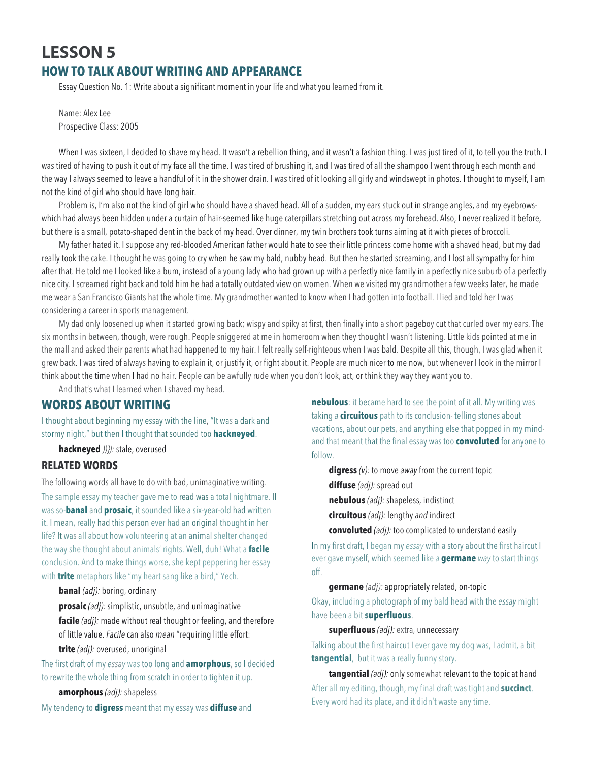# **LESSON 5 HOW TO TALK ABOUT WRITING AND APPEARANCE**

Essay Question No. 1: Write about a significant moment in your life and what you learned from it.

Name: Alex Lee Prospective Class: 2005

When I was sixteen, I decided to shave my head. It wasn't a rebellion thing, and it wasn't a fashion thing. I was just tired of it, to tell you the truth. I was tired of having to push it out of my face all the time. I was tired of brushing it, and I was tired of all the shampoo I went through each month and the way I always seemed to leave a handful of it in the shower drain. I was tired of it looking all girly and windswept in photos. I thought to myself, I am not the kind of girl who should have long hair.

Problem is, I'm also not the kind of girl who should have a shaved head. All of a sudden, my ears stuck out in strange angles, and my eyebrowswhich had always been hidden under a curtain of hair-seemed like huge caterpillars stretching out across my forehead. Also, I never realized it before, but there is a small, potato-shaped dent in the back of my head. Over dinner, my twin brothers took turns aiming at it with pieces of broccoli.

My father hated it. I suppose any red-blooded American father would hate to see their little princess come home with a shaved head, but my dad really took the cake. I thought he was going to cry when he saw my bald, nubby head. But then he started screaming, and I lost all sympathy for him after that. He told me I looked like a bum, instead of a young lady who had grown up with a perfectly nice family in a perfectly nice suburb of a perfectly nice city. I screamed right back and told him he had a totally outdated view on women. When we visited my grandmother a few weeks later, he made me wear a San Francisco Giants hat the whole time. My grandmother wanted to know when I had gotten into football. I lied and told her I was considering a career in sports management.

My dad only loosened up when it started growing back; wispy and spiky at first, then finally into a short pageboy cut that curled over my ears. The six months in between, though, were rough. People sniggered at me in homeroom when they thought I wasn't listening. Little kids pointed at me in the mall and asked their parents what had happened to my hair. I felt really self-righteous when I was bald. Despite all this, though, I was glad when it grew back. I was tired of always having to explain it, or justify it, or fight about it. People are much nicer to me now, but whenever I look in the mirror I think about the time when I had no hair. People can be awfully rude when you don't look, act, or think they way they want you to.

And that's what I learned when I shaved my head.

### **WORDS ABOUT WRITING**

I thought about beginning my essay with the line, "It was a dark and stormy night," but then I thought that sounded too **hackneyed**.

**hackneyed** *))}):* stale, overused

### **RELATED WORDS**

The following words all have to do with bad, unimaginative writing. The sample essay my teacher gave me to read was a total nightmare. II was so-**banal** and **prosaic**, it sounded like a six-year-old had written it. I mean, really had this person ever had an original thought in her life? It was all about how volunteering at an animal shelter changed the way she thought about animals' rights. Well, duh! What a **facile** conclusion. And to make things worse, she kept peppering her essay with **trite** metaphors like "my heart sang like a bird," Yech.

**banal** *(adj):* boring, ordinary

**prosaic** *(adj):* simplistic, unsubtle, and unimaginative

**facile** *(adj):* made without real thought or feeling, and therefore of little value. *Facile* can also *mean* "requiring little effort: **trite** *(adj):* overused, unoriginal

The first draft of my *essay* was too long and **amorphous**, so I decided to rewrite the whole thing from scratch in order to tighten it up.

**amorphous** *(adj):* shapeless

My tendency to **digress** meant that my essay was **diffuse** and

**nebulous**: it became hard to see the point of it all. My writing was taking *a* **circuitous** path to its conclusion- telling stones about vacations, about our pets, and anything else that popped in my mindand that meant that the final essay was too **convoluted** for anyone to follow.

**digress** *(v):* to move *away* from the current topic

**diffuse** *(adj):* spread out

**nebulous** *(adj):* shapeless, indistinct

**circuitous** *(adj):* lengthy *and* indirect

**convoluted** *(adj):* too complicated to understand easily

In my first draft, I began my *essay* with a story about the first haircut I ever gave myself, which seemed like *a* **germane** *way* to start things off.

**germane** *(adj):* appropriately related, on-topic

Okay, including a photograph of my bald head with the *essay* might have been a bit **superfluous**.

**superfluous** *(adj):* extra, unnecessary

Talking about the first haircut I ever gave my dog was, I admit, a bit **tangential**, but it was a really funny story.

**tangential** *(adj):* only somewhat relevant to the topic at hand After all my editing, though, my final draft was tight and **succinct**. Every word had its place, and it didn't waste any time.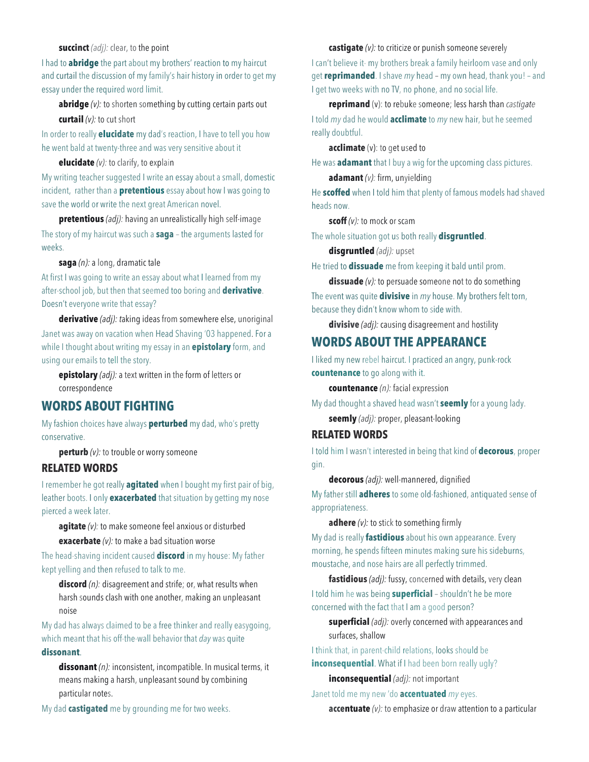#### **succinct** *(adj):* clear, to the point

I had to **abridge** the part about my brothers' reaction to my haircut and curtail the discussion of my family's hair history in order to get my essay under the required word limit.

**abridge** (v): to shorten something by cutting certain parts out **curtail** *(v):* to cut short

In order to really **elucidate** my dad's reaction, I have to tell you how he went bald at twenty-three and was very sensitive about it

#### **elucidate** *(v):* to clarify, to explain

My writing teacher suggested I write an essay about a small, domestic incident, rather than a **pretentious** essay about how I was going to save the world or write the next great American novel.

**pretentious** *(adj):* having an unrealistically high self-image The story of my haircut was such a **saga** – the arguments lasted for weeks.

**saga** *(n):* a long, dramatic tale

At first I was going to write an essay about what I learned from my after-school job, but then that seemed too boring and **derivative**. Doesn't everyone write that essay?

**derivative** *(adj): t*aking ideas from somewhere else, unoriginal Janet was away on vacation when Head Shaving '03 happened. For a while I thought about writing my essay in an **epistolary** form, and using our emails to tell the story.

**epistolary** *(adj):* a text written in the form of letters or correspondence

## **WORDS ABOUT FIGHTING**

My fashion choices have always **perturbed** my dad, who's pretty conservative.

**perturb** (*v*): to trouble or worry someone

## **RELATED WORDS**

I remember he got really **agitated** when I bought my first pair of big, leather boots. I only **exacerbated** that situation by getting my nose pierced a week later.

**agitate** *(v):* to make someone feel anxious or disturbed

**exacerbate** *(v):* to make a bad situation worse

The head-shaving incident caused **discord** in my house: My father kept yelling and then refused to talk to me.

**discord** (n): disagreement and strife; or, what results when harsh sounds clash with one another, making an unpleasant noise

My dad has always claimed to be a free thinker and really easygoing, which meant that his off-the-wall behavior that *day* was quite **dissonant**.

**dissonant** *(n):* inconsistent, incompatible. In musical terms, it means making a harsh, unpleasant sound by combining particular notes.

My dad **castigated** me by grounding me for two weeks.

**castigate** *(v):* to criticize or punish someone severely

I can't believe it- my brothers break a family heirloom vase and only get **reprimanded**. I shave *my* head – my own head, thank you! – and I get two weeks with no TV, no phone, and no social life.

**reprimand** (v): to rebuke someone; less harsh than *castigate* I told *my* dad he would **acclimate** to *my* new hair, but he seemed really doubtful.

**acclimate** (v): to get used to

He was **adamant** that I buy a wig for the upcoming class pictures.

**adamant** *(v):* firm, unyielding

He **scoffed** when I told him that plenty of famous models had shaved heads now.

**scoff** *(v):* to mock or scam

The whole situation got us both really **disgruntled**.

**disgruntled** *(adj):* upset

He tried to **dissuade** me from keeping it bald until prom.

**dissuade** *(v):* to persuade someone not to do something The event was quite **divisive** in *my* house. My brothers felt torn, because they didn't know whom to side with.

**divisive** *(adj):* causing disagreement and hostility

# **WORDS ABOUT THE APPEARANCE**

I liked my new rebel haircut. I practiced an angry, punk-rock **countenance** to go along with it.

**countenance** *(n):* facial expression

My dad thought a shaved head wasn't **seemly** for a young lady. **seemly** *(adj):* proper, pleasant-looking

## **RELATED WORDS**

I told him I wasn't interested in being that kind of **decorous**, proper gin.

**decorous** *(adj):* well-mannered, dignified

My father still **adheres** to some old-fashioned, antiquated sense of appropriateness.

**adhere** *(v):* to stick to something firmly

My dad is really **fastidious** about his own appearance. Every morning, he spends fifteen minutes making sure his sideburns, moustache, and nose hairs are all perfectly trimmed.

**fastidious** *(adj):* fussy, concerned with details, very clean I told him he was being **superficial** – shouldn't he be more concerned with the fact that I am a good person?

**superficial** *(adj):* overly concerned with appearances and surfaces, shallow

I think that, in parent-child relations, looks should be **inconsequential**. What if I had been born really ugly?

**inconsequential** *(adj):* not important

Janet told me my new 'do **accentuated** *my* eyes.

**accentuate** *(v):* to emphasize or draw attention to a particular